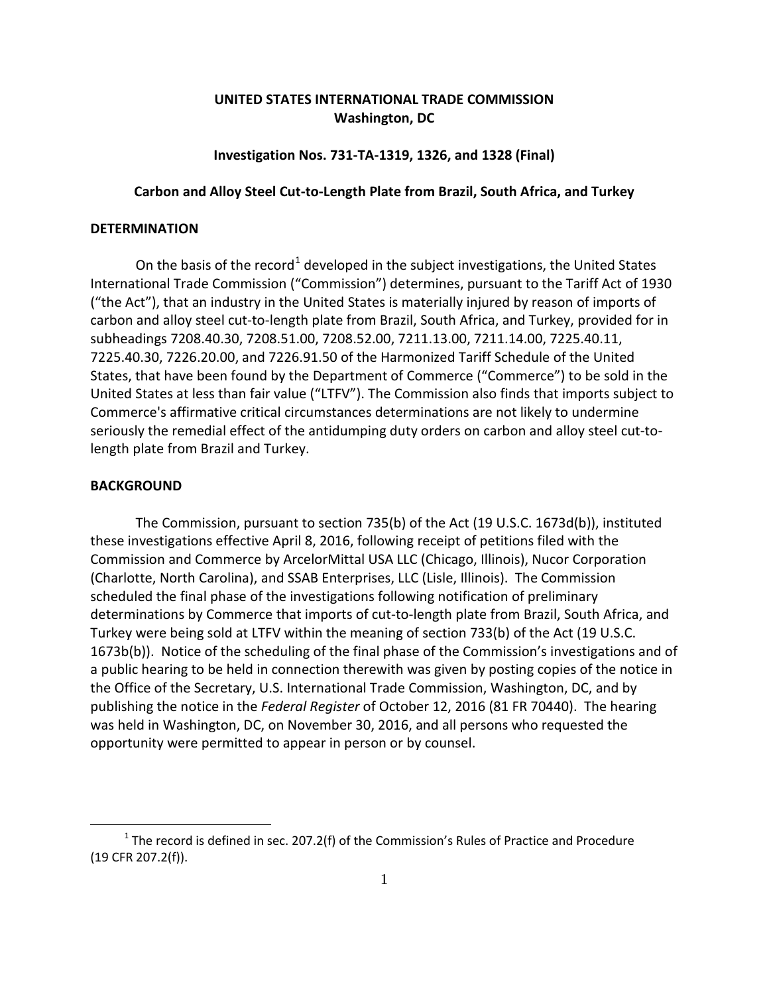# **UNITED STATES INTERNATIONAL TRADE COMMISSION Washington, DC**

## **Investigation Nos. 731-TA-1319, 1326, and 1328 (Final)**

## **Carbon and Alloy Steel Cut-to-Length Plate from Brazil, South Africa, and Turkey**

### **DETERMINATION**

On the basis of the record<sup>[1](#page-0-0)</sup> developed in the subject investigations, the United States International Trade Commission ("Commission") determines, pursuant to the Tariff Act of 1930 ("the Act"), that an industry in the United States is materially injured by reason of imports of carbon and alloy steel cut-to-length plate from Brazil, South Africa, and Turkey, provided for in subheadings 7208.40.30, 7208.51.00, 7208.52.00, 7211.13.00, 7211.14.00, 7225.40.11, 7225.40.30, 7226.20.00, and 7226.91.50 of the Harmonized Tariff Schedule of the United States, that have been found by the Department of Commerce ("Commerce") to be sold in the United States at less than fair value ("LTFV"). The Commission also finds that imports subject to Commerce's affirmative critical circumstances determinations are not likely to undermine seriously the remedial effect of the antidumping duty orders on carbon and alloy steel cut-tolength plate from Brazil and Turkey.

### **BACKGROUND**

 $\overline{a}$ 

The Commission, pursuant to section 735(b) of the Act (19 U.S.C. 1673d(b)), instituted these investigations effective April 8, 2016, following receipt of petitions filed with the Commission and Commerce by ArcelorMittal USA LLC (Chicago, Illinois), Nucor Corporation (Charlotte, North Carolina), and SSAB Enterprises, LLC (Lisle, Illinois). The Commission scheduled the final phase of the investigations following notification of preliminary determinations by Commerce that imports of cut-to-length plate from Brazil, South Africa, and Turkey were being sold at LTFV within the meaning of section 733(b) of the Act (19 U.S.C. 1673b(b)). Notice of the scheduling of the final phase of the Commission's investigations and of a public hearing to be held in connection therewith was given by posting copies of the notice in the Office of the Secretary, U.S. International Trade Commission, Washington, DC, and by publishing the notice in the *Federal Register* of October 12, 2016 (81 FR 70440). The hearing was held in Washington, DC, on November 30, 2016, and all persons who requested the opportunity were permitted to appear in person or by counsel.

<span id="page-0-0"></span> $1$  The record is defined in sec. 207.2(f) of the Commission's Rules of Practice and Procedure (19 CFR 207.2(f)).